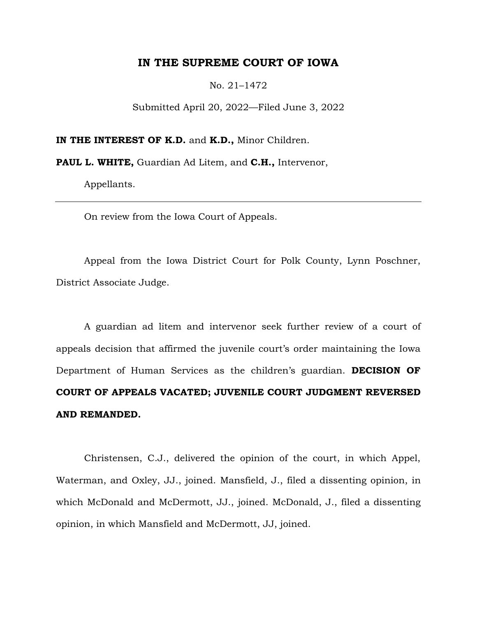### **IN THE SUPREME COURT OF IOWA**

No. 21–1472

Submitted April 20, 2022—Filed June 3, 2022

**IN THE INTEREST OF K.D. and K.D., Minor Children.** 

**PAUL L. WHITE,** Guardian Ad Litem, and **C.H.,** Intervenor,

Appellants.

On review from the Iowa Court of Appeals.

Appeal from the Iowa District Court for Polk County, Lynn Poschner, District Associate Judge.

A guardian ad litem and intervenor seek further review of a court of appeals decision that affirmed the juvenile court's order maintaining the Iowa Department of Human Services as the children's guardian. **DECISION OF COURT OF APPEALS VACATED; JUVENILE COURT JUDGMENT REVERSED AND REMANDED.**

Christensen, C.J., delivered the opinion of the court, in which Appel, Waterman, and Oxley, JJ., joined. Mansfield, J., filed a dissenting opinion, in which McDonald and McDermott, JJ., joined. McDonald, J., filed a dissenting opinion, in which Mansfield and McDermott, JJ, joined.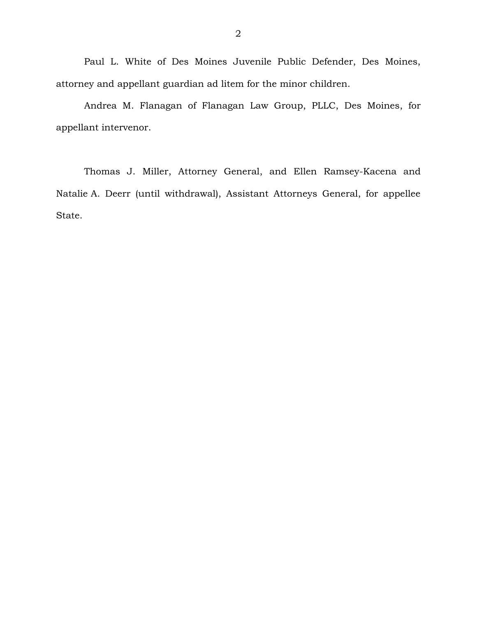Paul L. White of Des Moines Juvenile Public Defender, Des Moines, attorney and appellant guardian ad litem for the minor children.

Andrea M. Flanagan of Flanagan Law Group, PLLC, Des Moines, for appellant intervenor.

Thomas J. Miller, Attorney General, and Ellen Ramsey-Kacena and Natalie A. Deerr (until withdrawal), Assistant Attorneys General, for appellee State.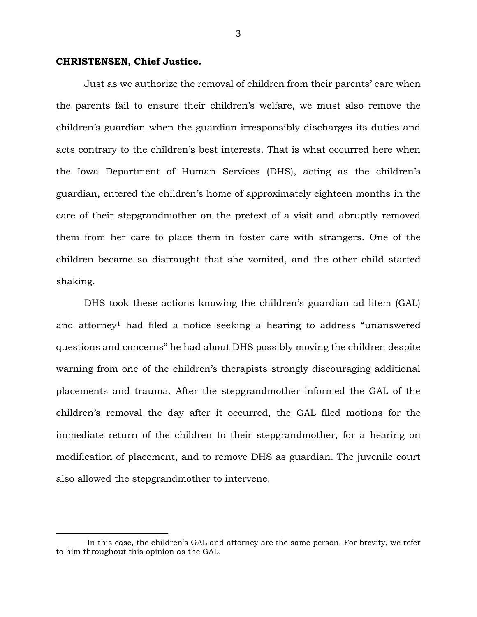### **CHRISTENSEN, Chief Justice.**

 $\overline{a}$ 

Just as we authorize the removal of children from their parents' care when the parents fail to ensure their children's welfare, we must also remove the children's guardian when the guardian irresponsibly discharges its duties and acts contrary to the children's best interests. That is what occurred here when the Iowa Department of Human Services (DHS), acting as the children's guardian, entered the children's home of approximately eighteen months in the care of their stepgrandmother on the pretext of a visit and abruptly removed them from her care to place them in foster care with strangers. One of the children became so distraught that she vomited, and the other child started shaking.

DHS took these actions knowing the children's guardian ad litem (GAL) and attorney<sup>1</sup> had filed a notice seeking a hearing to address "unanswered questions and concerns" he had about DHS possibly moving the children despite warning from one of the children's therapists strongly discouraging additional placements and trauma. After the stepgrandmother informed the GAL of the children's removal the day after it occurred, the GAL filed motions for the immediate return of the children to their stepgrandmother, for a hearing on modification of placement, and to remove DHS as guardian. The juvenile court also allowed the stepgrandmother to intervene.

<sup>&</sup>lt;sup>1</sup>In this case, the children's GAL and attorney are the same person. For brevity, we refer to him throughout this opinion as the GAL.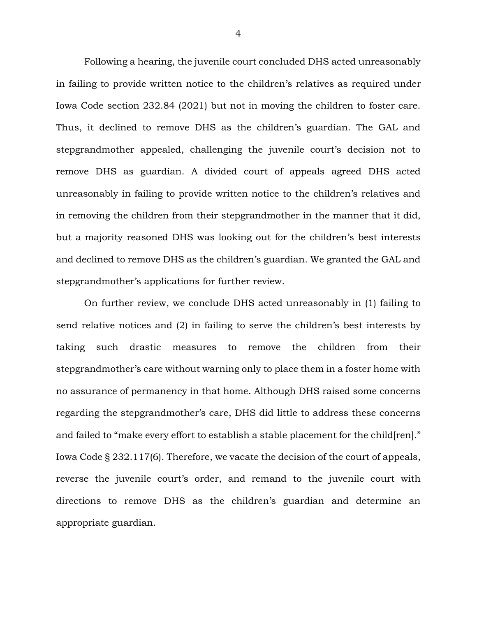Following a hearing, the juvenile court concluded DHS acted unreasonably in failing to provide written notice to the children's relatives as required under Iowa Code section 232.84 (2021) but not in moving the children to foster care. Thus, it declined to remove DHS as the children's guardian. The GAL and stepgrandmother appealed, challenging the juvenile court's decision not to remove DHS as guardian. A divided court of appeals agreed DHS acted unreasonably in failing to provide written notice to the children's relatives and in removing the children from their stepgrandmother in the manner that it did, but a majority reasoned DHS was looking out for the children's best interests and declined to remove DHS as the children's guardian. We granted the GAL and stepgrandmother's applications for further review.

On further review, we conclude DHS acted unreasonably in (1) failing to send relative notices and (2) in failing to serve the children's best interests by taking such drastic measures to remove the children from their stepgrandmother's care without warning only to place them in a foster home with no assurance of permanency in that home. Although DHS raised some concerns regarding the stepgrandmother's care, DHS did little to address these concerns and failed to "make every effort to establish a stable placement for the child[ren]." Iowa Code § 232.117(6). Therefore, we vacate the decision of the court of appeals, reverse the juvenile court's order, and remand to the juvenile court with directions to remove DHS as the children's guardian and determine an appropriate guardian.

4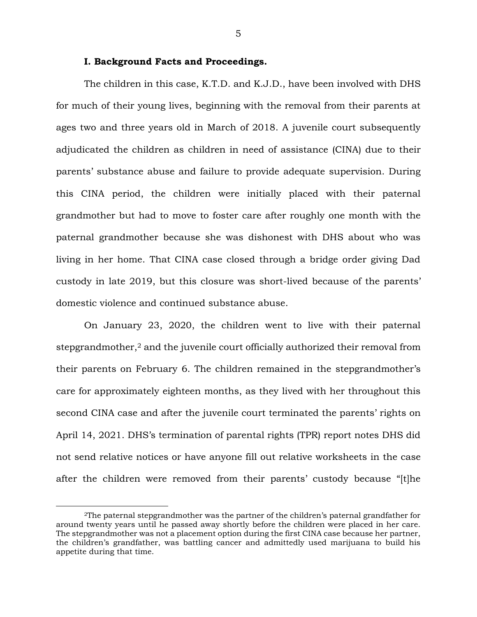### **I. Background Facts and Proceedings.**

The children in this case, K.T.D. and K.J.D., have been involved with DHS for much of their young lives, beginning with the removal from their parents at ages two and three years old in March of 2018. A juvenile court subsequently adjudicated the children as children in need of assistance (CINA) due to their parents' substance abuse and failure to provide adequate supervision. During this CINA period, the children were initially placed with their paternal grandmother but had to move to foster care after roughly one month with the paternal grandmother because she was dishonest with DHS about who was living in her home. That CINA case closed through a bridge order giving Dad custody in late 2019, but this closure was short-lived because of the parents' domestic violence and continued substance abuse.

On January 23, 2020, the children went to live with their paternal stepgrandmother,<sup>2</sup> and the juvenile court officially authorized their removal from their parents on February 6. The children remained in the stepgrandmother's care for approximately eighteen months, as they lived with her throughout this second CINA case and after the juvenile court terminated the parents' rights on April 14, 2021. DHS's termination of parental rights (TPR) report notes DHS did not send relative notices or have anyone fill out relative worksheets in the case after the children were removed from their parents' custody because "[t]he

 $\overline{a}$ 

<sup>2</sup>The paternal stepgrandmother was the partner of the children's paternal grandfather for around twenty years until he passed away shortly before the children were placed in her care. The stepgrandmother was not a placement option during the first CINA case because her partner, the children's grandfather, was battling cancer and admittedly used marijuana to build his appetite during that time.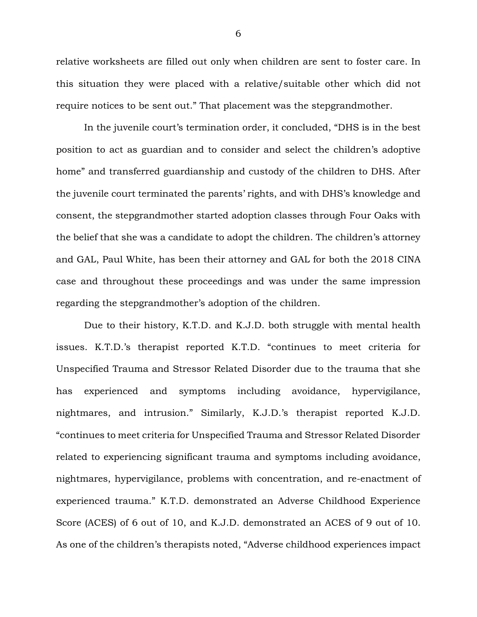relative worksheets are filled out only when children are sent to foster care. In this situation they were placed with a relative/suitable other which did not require notices to be sent out." That placement was the stepgrandmother.

In the juvenile court's termination order, it concluded, "DHS is in the best position to act as guardian and to consider and select the children's adoptive home" and transferred guardianship and custody of the children to DHS. After the juvenile court terminated the parents' rights, and with DHS's knowledge and consent, the stepgrandmother started adoption classes through Four Oaks with the belief that she was a candidate to adopt the children. The children's attorney and GAL, Paul White, has been their attorney and GAL for both the 2018 CINA case and throughout these proceedings and was under the same impression regarding the stepgrandmother's adoption of the children.

Due to their history, K.T.D. and K.J.D. both struggle with mental health issues. K.T.D.'s therapist reported K.T.D. "continues to meet criteria for Unspecified Trauma and Stressor Related Disorder due to the trauma that she has experienced and symptoms including avoidance, hypervigilance, nightmares, and intrusion." Similarly, K.J.D.'s therapist reported K.J.D. "continues to meet criteria for Unspecified Trauma and Stressor Related Disorder related to experiencing significant trauma and symptoms including avoidance, nightmares, hypervigilance, problems with concentration, and re-enactment of experienced trauma." K.T.D. demonstrated an Adverse Childhood Experience Score (ACES) of 6 out of 10, and K.J.D. demonstrated an ACES of 9 out of 10. As one of the children's therapists noted, "Adverse childhood experiences impact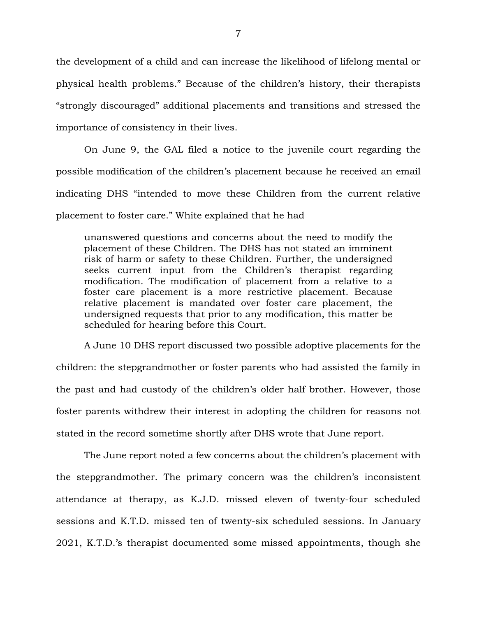the development of a child and can increase the likelihood of lifelong mental or physical health problems." Because of the children's history, their therapists "strongly discouraged" additional placements and transitions and stressed the importance of consistency in their lives.

On June 9, the GAL filed a notice to the juvenile court regarding the possible modification of the children's placement because he received an email indicating DHS "intended to move these Children from the current relative placement to foster care." White explained that he had

unanswered questions and concerns about the need to modify the placement of these Children. The DHS has not stated an imminent risk of harm or safety to these Children. Further, the undersigned seeks current input from the Children's therapist regarding modification. The modification of placement from a relative to a foster care placement is a more restrictive placement. Because relative placement is mandated over foster care placement, the undersigned requests that prior to any modification, this matter be scheduled for hearing before this Court.

A June 10 DHS report discussed two possible adoptive placements for the children: the stepgrandmother or foster parents who had assisted the family in the past and had custody of the children's older half brother. However, those foster parents withdrew their interest in adopting the children for reasons not stated in the record sometime shortly after DHS wrote that June report.

The June report noted a few concerns about the children's placement with the stepgrandmother. The primary concern was the children's inconsistent attendance at therapy, as K.J.D. missed eleven of twenty-four scheduled sessions and K.T.D. missed ten of twenty-six scheduled sessions. In January 2021, K.T.D.'s therapist documented some missed appointments, though she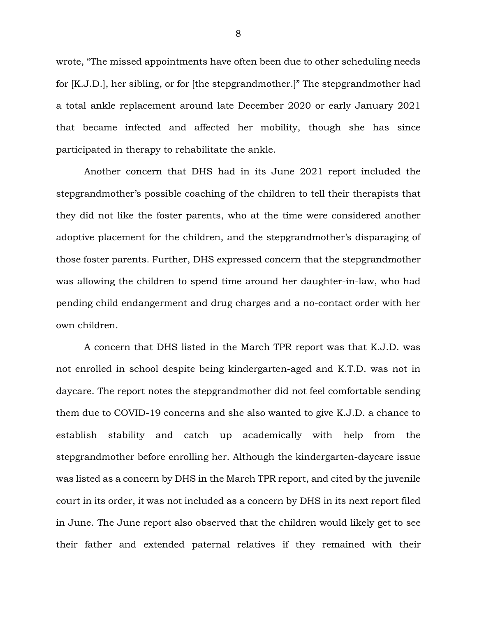wrote, "The missed appointments have often been due to other scheduling needs for [K.J.D.], her sibling, or for [the stepgrandmother.]" The stepgrandmother had a total ankle replacement around late December 2020 or early January 2021 that became infected and affected her mobility, though she has since participated in therapy to rehabilitate the ankle.

Another concern that DHS had in its June 2021 report included the stepgrandmother's possible coaching of the children to tell their therapists that they did not like the foster parents, who at the time were considered another adoptive placement for the children, and the stepgrandmother's disparaging of those foster parents. Further, DHS expressed concern that the stepgrandmother was allowing the children to spend time around her daughter-in-law, who had pending child endangerment and drug charges and a no-contact order with her own children.

A concern that DHS listed in the March TPR report was that K.J.D. was not enrolled in school despite being kindergarten-aged and K.T.D. was not in daycare. The report notes the stepgrandmother did not feel comfortable sending them due to COVID-19 concerns and she also wanted to give K.J.D. a chance to establish stability and catch up academically with help from the stepgrandmother before enrolling her. Although the kindergarten-daycare issue was listed as a concern by DHS in the March TPR report, and cited by the juvenile court in its order, it was not included as a concern by DHS in its next report filed in June. The June report also observed that the children would likely get to see their father and extended paternal relatives if they remained with their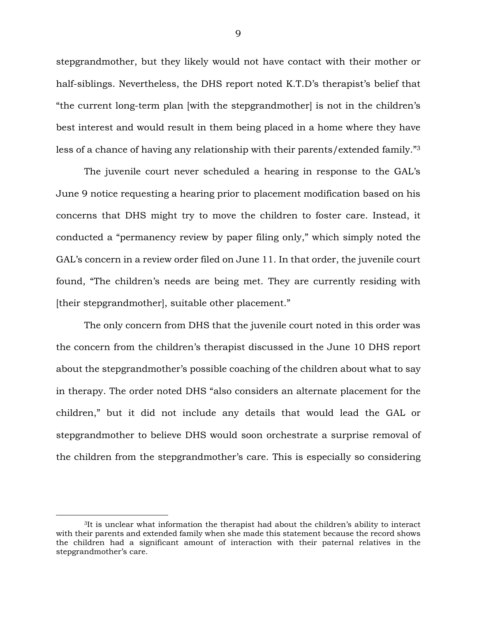stepgrandmother, but they likely would not have contact with their mother or half-siblings. Nevertheless, the DHS report noted K.T.D's therapist's belief that "the current long-term plan [with the stepgrandmother] is not in the children's best interest and would result in them being placed in a home where they have less of a chance of having any relationship with their parents/extended family."<sup>3</sup>

The juvenile court never scheduled a hearing in response to the GAL's June 9 notice requesting a hearing prior to placement modification based on his concerns that DHS might try to move the children to foster care. Instead, it conducted a "permanency review by paper filing only," which simply noted the GAL's concern in a review order filed on June 11. In that order, the juvenile court found, "The children's needs are being met. They are currently residing with [their stepgrandmother], suitable other placement."

The only concern from DHS that the juvenile court noted in this order was the concern from the children's therapist discussed in the June 10 DHS report about the stepgrandmother's possible coaching of the children about what to say in therapy. The order noted DHS "also considers an alternate placement for the children," but it did not include any details that would lead the GAL or stepgrandmother to believe DHS would soon orchestrate a surprise removal of the children from the stepgrandmother's care. This is especially so considering

 $\overline{a}$ 

<sup>3</sup>It is unclear what information the therapist had about the children's ability to interact with their parents and extended family when she made this statement because the record shows the children had a significant amount of interaction with their paternal relatives in the stepgrandmother's care.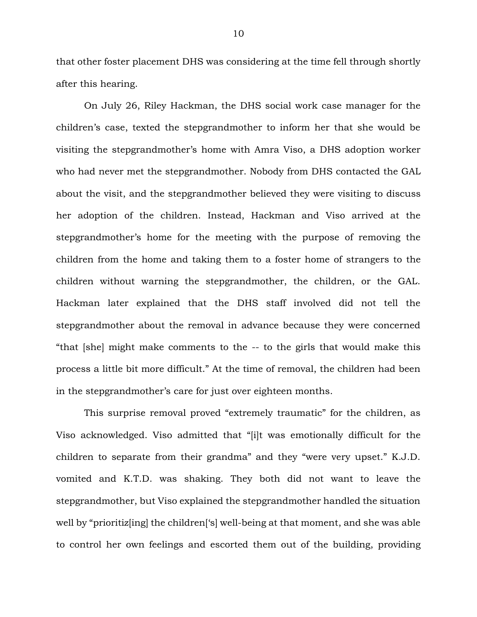that other foster placement DHS was considering at the time fell through shortly after this hearing.

On July 26, Riley Hackman, the DHS social work case manager for the children's case, texted the stepgrandmother to inform her that she would be visiting the stepgrandmother's home with Amra Viso, a DHS adoption worker who had never met the stepgrandmother. Nobody from DHS contacted the GAL about the visit, and the stepgrandmother believed they were visiting to discuss her adoption of the children. Instead, Hackman and Viso arrived at the stepgrandmother's home for the meeting with the purpose of removing the children from the home and taking them to a foster home of strangers to the children without warning the stepgrandmother, the children, or the GAL. Hackman later explained that the DHS staff involved did not tell the stepgrandmother about the removal in advance because they were concerned "that [she] might make comments to the -- to the girls that would make this process a little bit more difficult." At the time of removal, the children had been in the stepgrandmother's care for just over eighteen months.

This surprise removal proved "extremely traumatic" for the children, as Viso acknowledged. Viso admitted that "[i]t was emotionally difficult for the children to separate from their grandma" and they "were very upset." K.J.D. vomited and K.T.D. was shaking. They both did not want to leave the stepgrandmother, but Viso explained the stepgrandmother handled the situation well by "prioritiz<sup>[ing]</sup> the children<sup>['</sup>s] well-being at that moment, and she was able to control her own feelings and escorted them out of the building, providing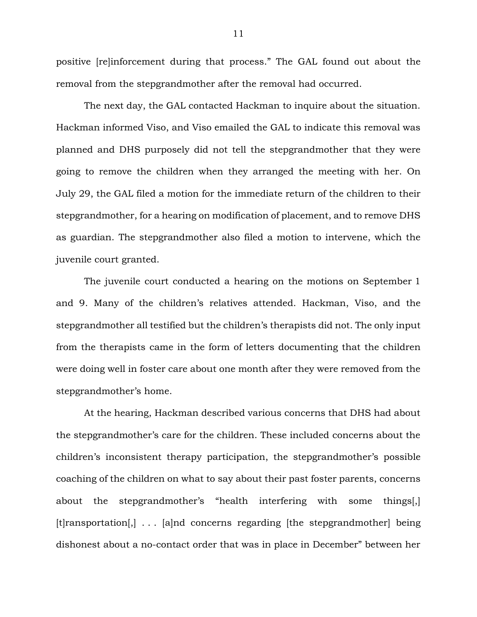positive [re]inforcement during that process." The GAL found out about the removal from the stepgrandmother after the removal had occurred.

The next day, the GAL contacted Hackman to inquire about the situation. Hackman informed Viso, and Viso emailed the GAL to indicate this removal was planned and DHS purposely did not tell the stepgrandmother that they were going to remove the children when they arranged the meeting with her. On July 29, the GAL filed a motion for the immediate return of the children to their stepgrandmother, for a hearing on modification of placement, and to remove DHS as guardian. The stepgrandmother also filed a motion to intervene, which the juvenile court granted.

The juvenile court conducted a hearing on the motions on September 1 and 9. Many of the children's relatives attended. Hackman, Viso, and the stepgrandmother all testified but the children's therapists did not. The only input from the therapists came in the form of letters documenting that the children were doing well in foster care about one month after they were removed from the stepgrandmother's home.

At the hearing, Hackman described various concerns that DHS had about the stepgrandmother's care for the children. These included concerns about the children's inconsistent therapy participation, the stepgrandmother's possible coaching of the children on what to say about their past foster parents, concerns about the stepgrandmother's "health interfering with some things[,] [t]ransportation[,] . . . [a]nd concerns regarding [the stepgrandmother] being dishonest about a no-contact order that was in place in December" between her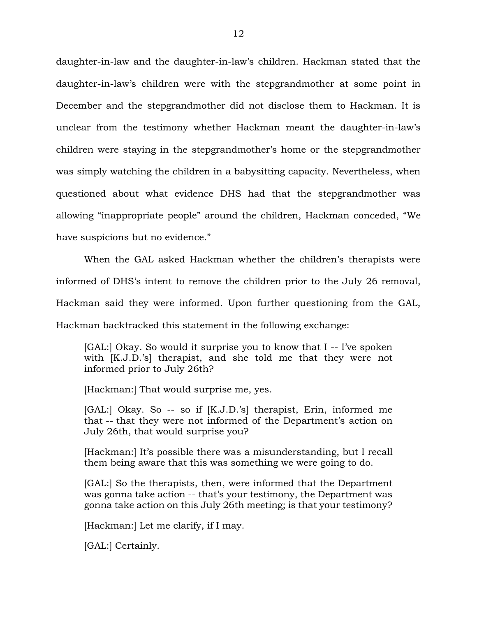daughter-in-law and the daughter-in-law's children. Hackman stated that the daughter-in-law's children were with the stepgrandmother at some point in December and the stepgrandmother did not disclose them to Hackman. It is unclear from the testimony whether Hackman meant the daughter-in-law's children were staying in the stepgrandmother's home or the stepgrandmother was simply watching the children in a babysitting capacity. Nevertheless, when questioned about what evidence DHS had that the stepgrandmother was allowing "inappropriate people" around the children, Hackman conceded, "We have suspicions but no evidence."

When the GAL asked Hackman whether the children's therapists were informed of DHS's intent to remove the children prior to the July 26 removal, Hackman said they were informed. Upon further questioning from the GAL, Hackman backtracked this statement in the following exchange:

[GAL:] Okay. So would it surprise you to know that I -- I've spoken with [K.J.D.'s] therapist, and she told me that they were not informed prior to July 26th?

[Hackman:] That would surprise me, yes.

[GAL:] Okay. So -- so if [K.J.D.'s] therapist, Erin, informed me that -- that they were not informed of the Department's action on July 26th, that would surprise you?

[Hackman:] It's possible there was a misunderstanding, but I recall them being aware that this was something we were going to do.

[GAL:] So the therapists, then, were informed that the Department was gonna take action -- that's your testimony, the Department was gonna take action on this July 26th meeting; is that your testimony?

[Hackman:] Let me clarify, if I may.

[GAL:] Certainly.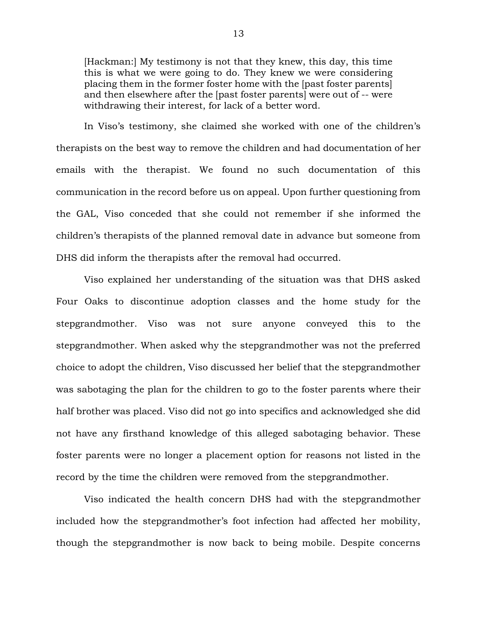[Hackman:] My testimony is not that they knew, this day, this time this is what we were going to do. They knew we were considering placing them in the former foster home with the [past foster parents] and then elsewhere after the [past foster parents] were out of -- were withdrawing their interest, for lack of a better word.

In Viso's testimony, she claimed she worked with one of the children's therapists on the best way to remove the children and had documentation of her emails with the therapist. We found no such documentation of this communication in the record before us on appeal. Upon further questioning from the GAL, Viso conceded that she could not remember if she informed the children's therapists of the planned removal date in advance but someone from DHS did inform the therapists after the removal had occurred.

Viso explained her understanding of the situation was that DHS asked Four Oaks to discontinue adoption classes and the home study for the stepgrandmother. Viso was not sure anyone conveyed this to the stepgrandmother. When asked why the stepgrandmother was not the preferred choice to adopt the children, Viso discussed her belief that the stepgrandmother was sabotaging the plan for the children to go to the foster parents where their half brother was placed. Viso did not go into specifics and acknowledged she did not have any firsthand knowledge of this alleged sabotaging behavior. These foster parents were no longer a placement option for reasons not listed in the record by the time the children were removed from the stepgrandmother.

Viso indicated the health concern DHS had with the stepgrandmother included how the stepgrandmother's foot infection had affected her mobility, though the stepgrandmother is now back to being mobile. Despite concerns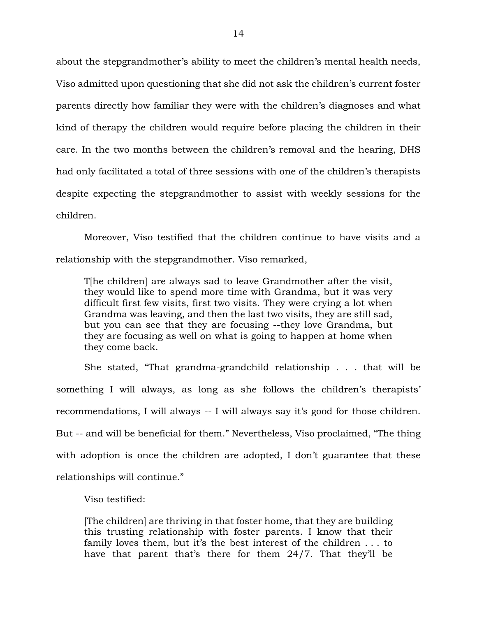about the stepgrandmother's ability to meet the children's mental health needs, Viso admitted upon questioning that she did not ask the children's current foster parents directly how familiar they were with the children's diagnoses and what kind of therapy the children would require before placing the children in their care. In the two months between the children's removal and the hearing, DHS had only facilitated a total of three sessions with one of the children's therapists despite expecting the stepgrandmother to assist with weekly sessions for the children.

Moreover, Viso testified that the children continue to have visits and a relationship with the stepgrandmother. Viso remarked,

T[he children] are always sad to leave Grandmother after the visit, they would like to spend more time with Grandma, but it was very difficult first few visits, first two visits. They were crying a lot when Grandma was leaving, and then the last two visits, they are still sad, but you can see that they are focusing --they love Grandma, but they are focusing as well on what is going to happen at home when they come back.

She stated, "That grandma-grandchild relationship . . . that will be something I will always, as long as she follows the children's therapists' recommendations, I will always -- I will always say it's good for those children. But -- and will be beneficial for them." Nevertheless, Viso proclaimed, "The thing with adoption is once the children are adopted, I don't guarantee that these relationships will continue."

Viso testified:

[The children] are thriving in that foster home, that they are building this trusting relationship with foster parents. I know that their family loves them, but it's the best interest of the children . . . to have that parent that's there for them 24/7. That they'll be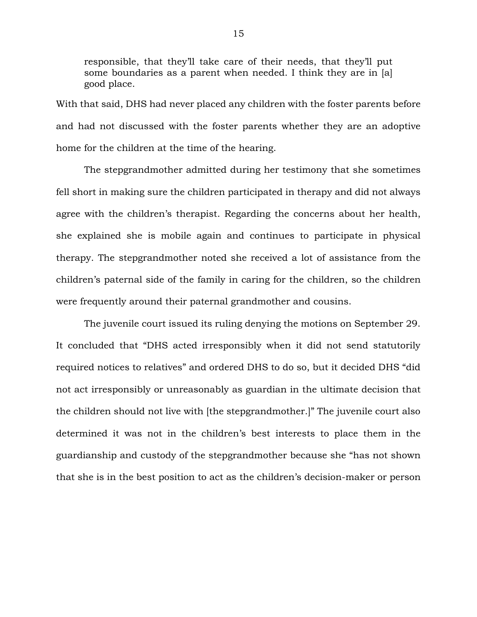responsible, that they'll take care of their needs, that they'll put some boundaries as a parent when needed. I think they are in [a] good place.

With that said, DHS had never placed any children with the foster parents before and had not discussed with the foster parents whether they are an adoptive home for the children at the time of the hearing.

The stepgrandmother admitted during her testimony that she sometimes fell short in making sure the children participated in therapy and did not always agree with the children's therapist. Regarding the concerns about her health, she explained she is mobile again and continues to participate in physical therapy. The stepgrandmother noted she received a lot of assistance from the children's paternal side of the family in caring for the children, so the children were frequently around their paternal grandmother and cousins.

The juvenile court issued its ruling denying the motions on September 29. It concluded that "DHS acted irresponsibly when it did not send statutorily required notices to relatives" and ordered DHS to do so, but it decided DHS "did not act irresponsibly or unreasonably as guardian in the ultimate decision that the children should not live with [the stepgrandmother.]" The juvenile court also determined it was not in the children's best interests to place them in the guardianship and custody of the stepgrandmother because she "has not shown that she is in the best position to act as the children's decision-maker or person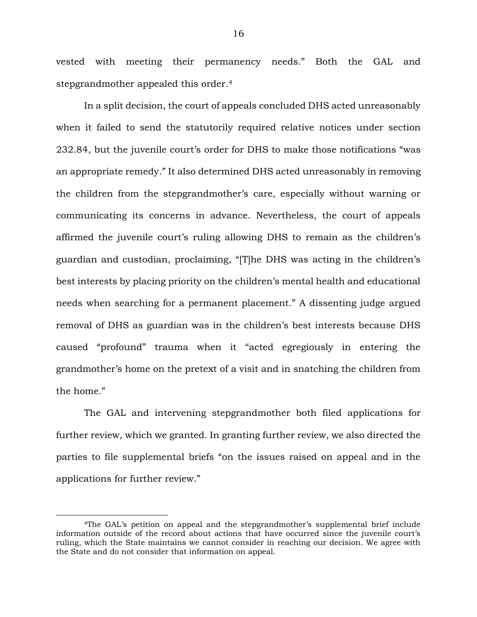vested with meeting their permanency needs." Both the GAL and stepgrandmother appealed this order.<sup>4</sup>

In a split decision, the court of appeals concluded DHS acted unreasonably when it failed to send the statutorily required relative notices under section 232.84, but the juvenile court's order for DHS to make those notifications "was an appropriate remedy." It also determined DHS acted unreasonably in removing the children from the stepgrandmother's care, especially without warning or communicating its concerns in advance. Nevertheless, the court of appeals affirmed the juvenile court's ruling allowing DHS to remain as the children's guardian and custodian, proclaiming, "[T]he DHS was acting in the children's best interests by placing priority on the children's mental health and educational needs when searching for a permanent placement." A dissenting judge argued removal of DHS as guardian was in the children's best interests because DHS caused "profound" trauma when it "acted egregiously in entering the grandmother's home on the pretext of a visit and in snatching the children from the home."

The GAL and intervening stepgrandmother both filed applications for further review, which we granted. In granting further review, we also directed the parties to file supplemental briefs "on the issues raised on appeal and in the applications for further review."

 $\overline{a}$ 

<sup>4</sup>The GAL's petition on appeal and the stepgrandmother's supplemental brief include information outside of the record about actions that have occurred since the juvenile court's ruling, which the State maintains we cannot consider in reaching our decision. We agree with the State and do not consider that information on appeal.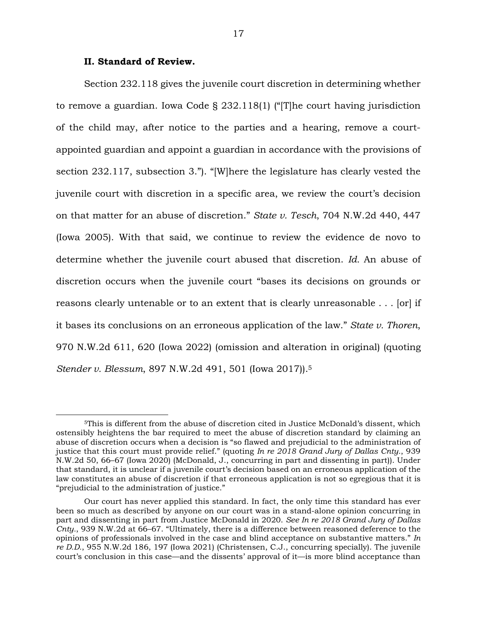### **II. Standard of Review.**

 $\overline{a}$ 

Section 232.118 gives the juvenile court discretion in determining whether to remove a guardian. Iowa Code § 232.118(1) ("[T]he court having jurisdiction of the child may, after notice to the parties and a hearing, remove a courtappointed guardian and appoint a guardian in accordance with the provisions of section 232.117, subsection 3."). "[W]here the legislature has clearly vested the juvenile court with discretion in a specific area, we review the court's decision on that matter for an abuse of discretion." *State v. Tesch*, 704 N.W.2d 440, 447 (Iowa 2005). With that said, we continue to review the evidence de novo to determine whether the juvenile court abused that discretion. *Id.* An abuse of discretion occurs when the juvenile court "bases its decisions on grounds or reasons clearly untenable or to an extent that is clearly unreasonable . . . [or] if it bases its conclusions on an erroneous application of the law." *State v. Thoren*, 970 N.W.2d 611, 620 (Iowa 2022) (omission and alteration in original) (quoting *Stender v. Blessum*, 897 N.W.2d 491, 501 (Iowa 2017)).<sup>5</sup>

<sup>5</sup>This is different from the abuse of discretion cited in Justice McDonald's dissent, which ostensibly heightens the bar required to meet the abuse of discretion standard by claiming an abuse of discretion occurs when a decision is "so flawed and prejudicial to the administration of justice that this court must provide relief." (quoting *In re 2018 Grand Jury of Dallas Cnty.*, 939 N.W.2d 50, 66–67 (Iowa 2020) (McDonald, J., concurring in part and dissenting in part)). Under that standard, it is unclear if a juvenile court's decision based on an erroneous application of the law constitutes an abuse of discretion if that erroneous application is not so egregious that it is "prejudicial to the administration of justice."

Our court has never applied this standard. In fact, the only time this standard has ever been so much as described by anyone on our court was in a stand-alone opinion concurring in part and dissenting in part from Justice McDonald in 2020. *See In re 2018 Grand Jury of Dallas Cnty.*, 939 N.W.2d at 66–67. "Ultimately, there is a difference between reasoned deference to the opinions of professionals involved in the case and blind acceptance on substantive matters." *In re D.D.*, 955 N.W.2d 186, 197 (Iowa 2021) (Christensen, C.J., concurring specially). The juvenile court's conclusion in this case—and the dissents' approval of it—is more blind acceptance than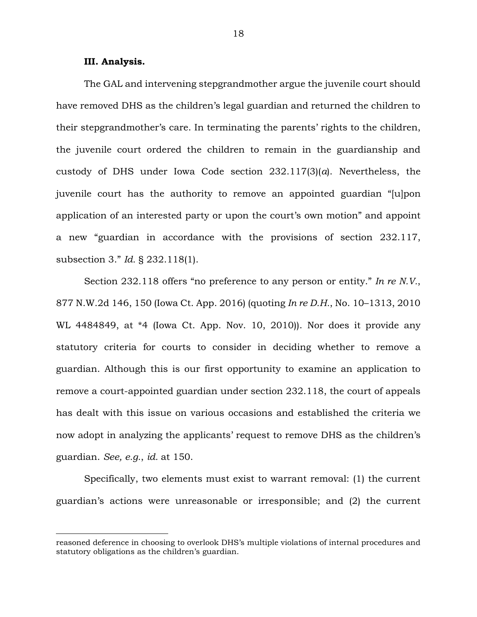### **III. Analysis.**

 $\overline{a}$ 

The GAL and intervening stepgrandmother argue the juvenile court should have removed DHS as the children's legal guardian and returned the children to their stepgrandmother's care. In terminating the parents' rights to the children, the juvenile court ordered the children to remain in the guardianship and custody of DHS under Iowa Code section 232.117(3)(*a*). Nevertheless, the juvenile court has the authority to remove an appointed guardian "[u]pon application of an interested party or upon the court's own motion" and appoint a new "guardian in accordance with the provisions of section 232.117, subsection 3." *Id.* § 232.118(1).

Section 232.118 offers "no preference to any person or entity." *In re N.V.*, 877 N.W.2d 146, 150 (Iowa Ct. App. 2016) (quoting *In re D.H.*, No. 10–1313, 2010 WL 4484849, at \*4 (Iowa Ct. App. Nov. 10, 2010)). Nor does it provide any statutory criteria for courts to consider in deciding whether to remove a guardian. Although this is our first opportunity to examine an application to remove a court-appointed guardian under section 232.118, the court of appeals has dealt with this issue on various occasions and established the criteria we now adopt in analyzing the applicants' request to remove DHS as the children's guardian. *See, e.g.*, *id.* at 150.

Specifically, two elements must exist to warrant removal: (1) the current guardian's actions were unreasonable or irresponsible; and (2) the current

reasoned deference in choosing to overlook DHS's multiple violations of internal procedures and statutory obligations as the children's guardian.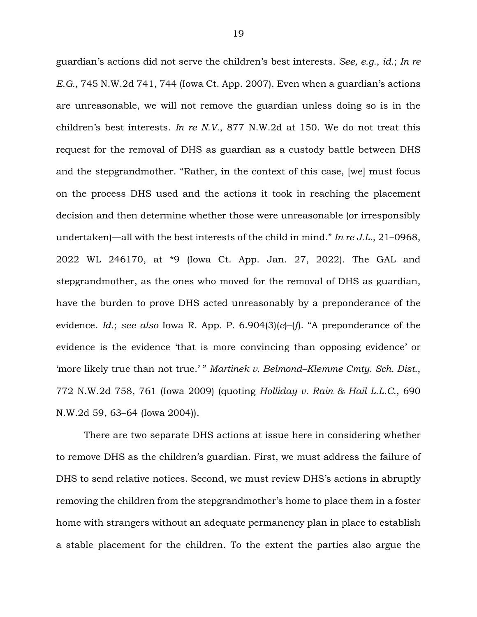guardian's actions did not serve the children's best interests. *See, e.g.*, *id.*; *In re E.G.*, 745 N.W.2d 741, 744 (Iowa Ct. App. 2007). Even when a guardian's actions are unreasonable, we will not remove the guardian unless doing so is in the children's best interests. *In re N.V.*, 877 N.W.2d at 150. We do not treat this request for the removal of DHS as guardian as a custody battle between DHS and the stepgrandmother. "Rather, in the context of this case, [we] must focus on the process DHS used and the actions it took in reaching the placement decision and then determine whether those were unreasonable (or irresponsibly undertaken)—all with the best interests of the child in mind." *In re J.L.*, 21–0968, 2022 WL 246170, at \*9 (Iowa Ct. App. Jan. 27, 2022). The GAL and stepgrandmother, as the ones who moved for the removal of DHS as guardian, have the burden to prove DHS acted unreasonably by a preponderance of the evidence. *Id.*; *see also* Iowa R. App. P. 6.904(3)(*e*)–(*f*). "A preponderance of the evidence is the evidence 'that is more convincing than opposing evidence' or 'more likely true than not true.' " *Martinek v. Belmond–Klemme Cmty. Sch. Dist.*, 772 N.W.2d 758, 761 (Iowa 2009) (quoting *Holliday v. Rain & Hail L.L.C.*, 690 N.W.2d 59, 63–64 (Iowa 2004)).

There are two separate DHS actions at issue here in considering whether to remove DHS as the children's guardian. First, we must address the failure of DHS to send relative notices. Second, we must review DHS's actions in abruptly removing the children from the stepgrandmother's home to place them in a foster home with strangers without an adequate permanency plan in place to establish a stable placement for the children. To the extent the parties also argue the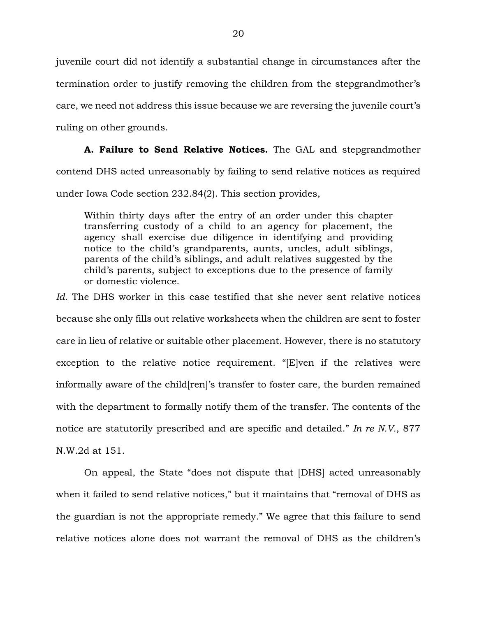juvenile court did not identify a substantial change in circumstances after the termination order to justify removing the children from the stepgrandmother's care, we need not address this issue because we are reversing the juvenile court's ruling on other grounds.

**A. Failure to Send Relative Notices.** The GAL and stepgrandmother contend DHS acted unreasonably by failing to send relative notices as required under Iowa Code section 232.84(2). This section provides,

Within thirty days after the entry of an order under this chapter transferring custody of a child to an agency for placement, the agency shall exercise due diligence in identifying and providing notice to the child's grandparents, aunts, uncles, adult siblings, parents of the child's siblings, and adult relatives suggested by the child's parents, subject to exceptions due to the presence of family or domestic violence.

*Id.* The DHS worker in this case testified that she never sent relative notices because she only fills out relative worksheets when the children are sent to foster care in lieu of relative or suitable other placement. However, there is no statutory exception to the relative notice requirement. "[E]ven if the relatives were informally aware of the child[ren]'s transfer to foster care, the burden remained with the department to formally notify them of the transfer. The contents of the notice are statutorily prescribed and are specific and detailed." *In re N.V.*, 877 N.W.2d at 151.

On appeal, the State "does not dispute that [DHS] acted unreasonably when it failed to send relative notices," but it maintains that "removal of DHS as the guardian is not the appropriate remedy." We agree that this failure to send relative notices alone does not warrant the removal of DHS as the children's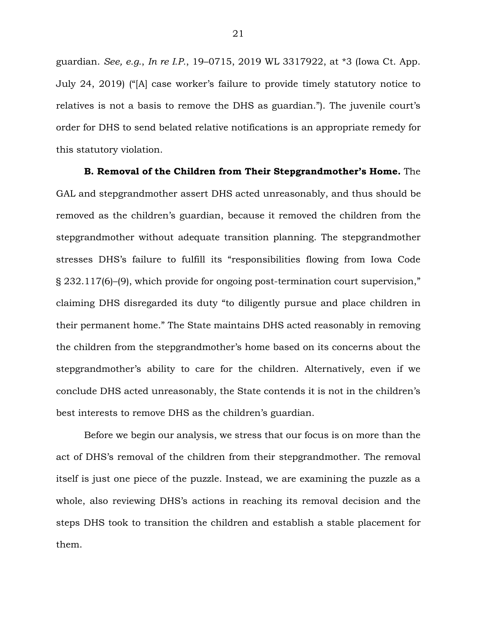guardian. *See, e.g.*, *In re I.P.*, 19–0715, 2019 WL 3317922, at \*3 (Iowa Ct. App. July 24, 2019) ("[A] case worker's failure to provide timely statutory notice to relatives is not a basis to remove the DHS as guardian."). The juvenile court's order for DHS to send belated relative notifications is an appropriate remedy for this statutory violation.

**B. Removal of the Children from Their Stepgrandmother's Home.** The GAL and stepgrandmother assert DHS acted unreasonably, and thus should be removed as the children's guardian, because it removed the children from the stepgrandmother without adequate transition planning. The stepgrandmother stresses DHS's failure to fulfill its "responsibilities flowing from Iowa Code § 232.117(6)–(9), which provide for ongoing post-termination court supervision," claiming DHS disregarded its duty "to diligently pursue and place children in their permanent home." The State maintains DHS acted reasonably in removing the children from the stepgrandmother's home based on its concerns about the stepgrandmother's ability to care for the children. Alternatively, even if we conclude DHS acted unreasonably, the State contends it is not in the children's best interests to remove DHS as the children's guardian.

Before we begin our analysis, we stress that our focus is on more than the act of DHS's removal of the children from their stepgrandmother. The removal itself is just one piece of the puzzle. Instead, we are examining the puzzle as a whole, also reviewing DHS's actions in reaching its removal decision and the steps DHS took to transition the children and establish a stable placement for them.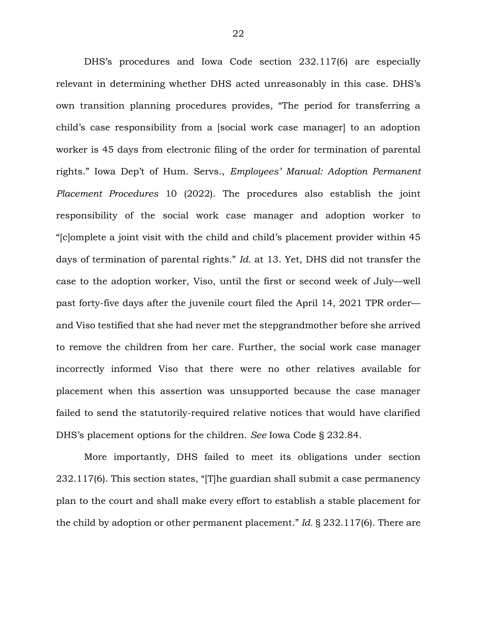DHS's procedures and Iowa Code section 232.117(6) are especially relevant in determining whether DHS acted unreasonably in this case. DHS's own transition planning procedures provides, "The period for transferring a child's case responsibility from a [social work case manager] to an adoption worker is 45 days from electronic filing of the order for termination of parental rights." Iowa Dep't of Hum. Servs., *Employees' Manual: Adoption Permanent Placement Procedures* 10 (2022). The procedures also establish the joint responsibility of the social work case manager and adoption worker to "[c]omplete a joint visit with the child and child's placement provider within 45 days of termination of parental rights." *Id.* at 13. Yet, DHS did not transfer the case to the adoption worker, Viso, until the first or second week of July—well past forty-five days after the juvenile court filed the April 14, 2021 TPR order and Viso testified that she had never met the stepgrandmother before she arrived to remove the children from her care. Further, the social work case manager incorrectly informed Viso that there were no other relatives available for placement when this assertion was unsupported because the case manager failed to send the statutorily-required relative notices that would have clarified DHS's placement options for the children. *See* Iowa Code § 232.84.

More importantly, DHS failed to meet its obligations under section 232.117(6). This section states, "[T]he guardian shall submit a case permanency plan to the court and shall make every effort to establish a stable placement for the child by adoption or other permanent placement." *Id.* § 232.117(6). There are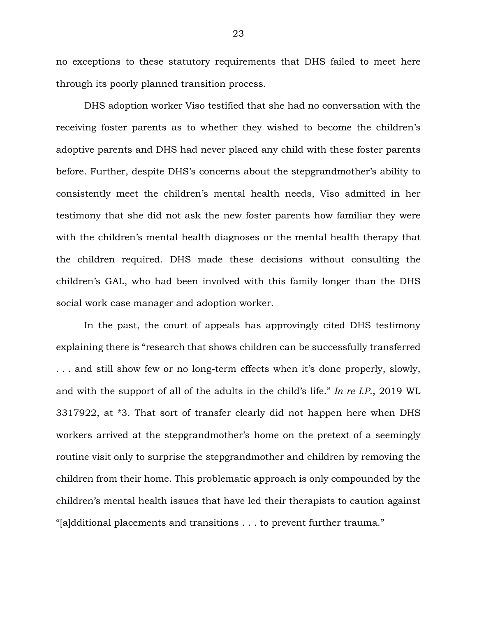no exceptions to these statutory requirements that DHS failed to meet here through its poorly planned transition process.

DHS adoption worker Viso testified that she had no conversation with the receiving foster parents as to whether they wished to become the children's adoptive parents and DHS had never placed any child with these foster parents before. Further, despite DHS's concerns about the stepgrandmother's ability to consistently meet the children's mental health needs, Viso admitted in her testimony that she did not ask the new foster parents how familiar they were with the children's mental health diagnoses or the mental health therapy that the children required. DHS made these decisions without consulting the children's GAL, who had been involved with this family longer than the DHS social work case manager and adoption worker.

In the past, the court of appeals has approvingly cited DHS testimony explaining there is "research that shows children can be successfully transferred . . . and still show few or no long-term effects when it's done properly, slowly, and with the support of all of the adults in the child's life." *In re I.P.*, 2019 WL 3317922, at \*3. That sort of transfer clearly did not happen here when DHS workers arrived at the stepgrandmother's home on the pretext of a seemingly routine visit only to surprise the stepgrandmother and children by removing the children from their home. This problematic approach is only compounded by the children's mental health issues that have led their therapists to caution against "[a]dditional placements and transitions . . . to prevent further trauma."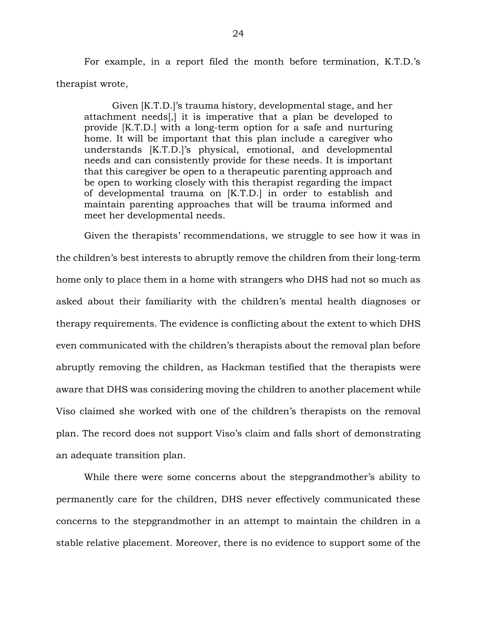For example, in a report filed the month before termination, K.T.D.'s therapist wrote,

Given [K.T.D.]'s trauma history, developmental stage, and her attachment needs[,] it is imperative that a plan be developed to provide [K.T.D.] with a long-term option for a safe and nurturing home. It will be important that this plan include a caregiver who understands [K.T.D.]'s physical, emotional, and developmental needs and can consistently provide for these needs. It is important that this caregiver be open to a therapeutic parenting approach and be open to working closely with this therapist regarding the impact of developmental trauma on [K.T.D.] in order to establish and maintain parenting approaches that will be trauma informed and meet her developmental needs.

Given the therapists' recommendations, we struggle to see how it was in the children's best interests to abruptly remove the children from their long-term home only to place them in a home with strangers who DHS had not so much as asked about their familiarity with the children's mental health diagnoses or therapy requirements. The evidence is conflicting about the extent to which DHS even communicated with the children's therapists about the removal plan before abruptly removing the children, as Hackman testified that the therapists were aware that DHS was considering moving the children to another placement while Viso claimed she worked with one of the children's therapists on the removal plan. The record does not support Viso's claim and falls short of demonstrating an adequate transition plan.

While there were some concerns about the stepgrandmother's ability to permanently care for the children, DHS never effectively communicated these concerns to the stepgrandmother in an attempt to maintain the children in a stable relative placement. Moreover, there is no evidence to support some of the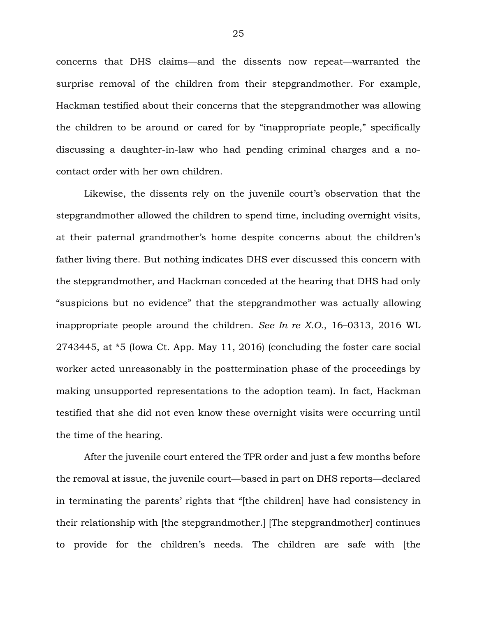concerns that DHS claims—and the dissents now repeat—warranted the surprise removal of the children from their stepgrandmother. For example, Hackman testified about their concerns that the stepgrandmother was allowing the children to be around or cared for by "inappropriate people," specifically discussing a daughter-in-law who had pending criminal charges and a nocontact order with her own children.

Likewise, the dissents rely on the juvenile court's observation that the stepgrandmother allowed the children to spend time, including overnight visits, at their paternal grandmother's home despite concerns about the children's father living there. But nothing indicates DHS ever discussed this concern with the stepgrandmother, and Hackman conceded at the hearing that DHS had only "suspicions but no evidence" that the stepgrandmother was actually allowing inappropriate people around the children. *See In re X.O.*, 16–0313, 2016 WL 2743445, at \*5 (Iowa Ct. App. May 11, 2016) (concluding the foster care social worker acted unreasonably in the posttermination phase of the proceedings by making unsupported representations to the adoption team). In fact, Hackman testified that she did not even know these overnight visits were occurring until the time of the hearing.

After the juvenile court entered the TPR order and just a few months before the removal at issue, the juvenile court—based in part on DHS reports—declared in terminating the parents' rights that "[the children] have had consistency in their relationship with [the stepgrandmother.] [The stepgrandmother] continues to provide for the children's needs. The children are safe with [the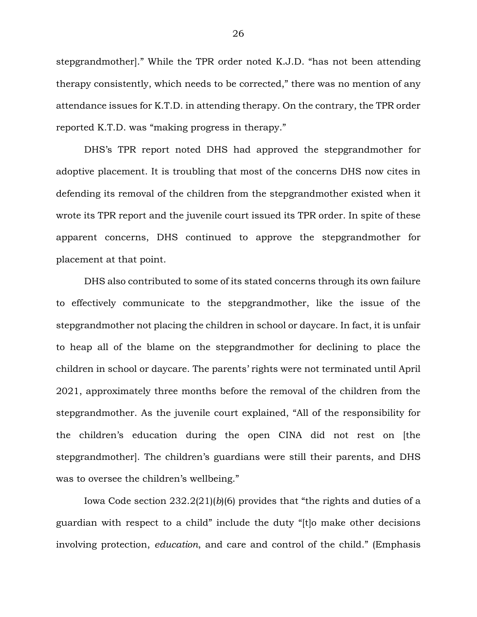stepgrandmother]." While the TPR order noted K.J.D. "has not been attending therapy consistently, which needs to be corrected," there was no mention of any attendance issues for K.T.D. in attending therapy. On the contrary, the TPR order reported K.T.D. was "making progress in therapy."

DHS's TPR report noted DHS had approved the stepgrandmother for adoptive placement. It is troubling that most of the concerns DHS now cites in defending its removal of the children from the stepgrandmother existed when it wrote its TPR report and the juvenile court issued its TPR order. In spite of these apparent concerns, DHS continued to approve the stepgrandmother for placement at that point.

DHS also contributed to some of its stated concerns through its own failure to effectively communicate to the stepgrandmother, like the issue of the stepgrandmother not placing the children in school or daycare. In fact, it is unfair to heap all of the blame on the stepgrandmother for declining to place the children in school or daycare. The parents' rights were not terminated until April 2021, approximately three months before the removal of the children from the stepgrandmother. As the juvenile court explained, "All of the responsibility for the children's education during the open CINA did not rest on [the stepgrandmother]. The children's guardians were still their parents, and DHS was to oversee the children's wellbeing."

Iowa Code section 232.2(21)(*b*)(6) provides that "the rights and duties of a guardian with respect to a child" include the duty "[t]o make other decisions involving protection, *education*, and care and control of the child." (Emphasis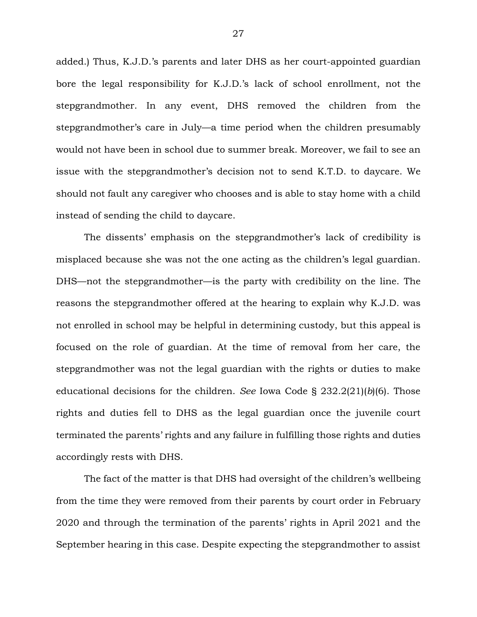added.) Thus, K.J.D.'s parents and later DHS as her court-appointed guardian bore the legal responsibility for K.J.D.'s lack of school enrollment, not the stepgrandmother. In any event, DHS removed the children from the stepgrandmother's care in July—a time period when the children presumably would not have been in school due to summer break. Moreover, we fail to see an issue with the stepgrandmother's decision not to send K.T.D. to daycare. We should not fault any caregiver who chooses and is able to stay home with a child instead of sending the child to daycare.

The dissents' emphasis on the stepgrandmother's lack of credibility is misplaced because she was not the one acting as the children's legal guardian. DHS—not the stepgrandmother—is the party with credibility on the line. The reasons the stepgrandmother offered at the hearing to explain why K.J.D. was not enrolled in school may be helpful in determining custody, but this appeal is focused on the role of guardian. At the time of removal from her care, the stepgrandmother was not the legal guardian with the rights or duties to make educational decisions for the children. *See* Iowa Code § 232.2(21)(*b*)(6). Those rights and duties fell to DHS as the legal guardian once the juvenile court terminated the parents' rights and any failure in fulfilling those rights and duties accordingly rests with DHS.

The fact of the matter is that DHS had oversight of the children's wellbeing from the time they were removed from their parents by court order in February 2020 and through the termination of the parents' rights in April 2021 and the September hearing in this case. Despite expecting the stepgrandmother to assist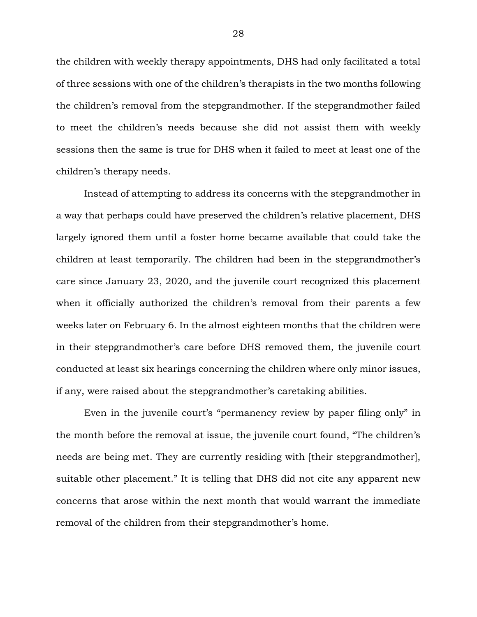the children with weekly therapy appointments, DHS had only facilitated a total of three sessions with one of the children's therapists in the two months following the children's removal from the stepgrandmother. If the stepgrandmother failed to meet the children's needs because she did not assist them with weekly sessions then the same is true for DHS when it failed to meet at least one of the children's therapy needs.

Instead of attempting to address its concerns with the stepgrandmother in a way that perhaps could have preserved the children's relative placement, DHS largely ignored them until a foster home became available that could take the children at least temporarily. The children had been in the stepgrandmother's care since January 23, 2020, and the juvenile court recognized this placement when it officially authorized the children's removal from their parents a few weeks later on February 6. In the almost eighteen months that the children were in their stepgrandmother's care before DHS removed them, the juvenile court conducted at least six hearings concerning the children where only minor issues, if any, were raised about the stepgrandmother's caretaking abilities.

Even in the juvenile court's "permanency review by paper filing only" in the month before the removal at issue, the juvenile court found, "The children's needs are being met. They are currently residing with [their stepgrandmother], suitable other placement." It is telling that DHS did not cite any apparent new concerns that arose within the next month that would warrant the immediate removal of the children from their stepgrandmother's home.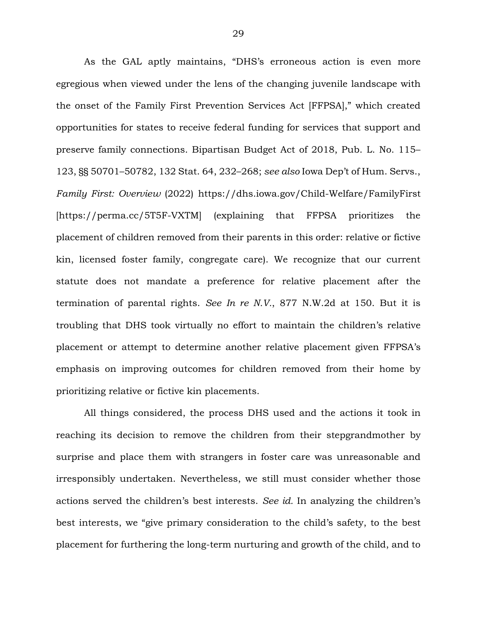As the GAL aptly maintains, "DHS's erroneous action is even more egregious when viewed under the lens of the changing juvenile landscape with the onset of the Family First Prevention Services Act [FFPSA]," which created opportunities for states to receive federal funding for services that support and preserve family connections. Bipartisan Budget Act of 2018, Pub. L. No. 115– 123, §§ 50701–50782, 132 Stat. 64, 232–268; *see also* Iowa Dep't of Hum. Servs., *Family First: Overview* (2022) https://dhs.iowa.gov/Child-Welfare/FamilyFirst [https://perma.cc/5T5F-VXTM] (explaining that FFPSA prioritizes the placement of children removed from their parents in this order: relative or fictive kin, licensed foster family, congregate care). We recognize that our current statute does not mandate a preference for relative placement after the termination of parental rights. *See In re N.V.*, 877 N.W.2d at 150. But it is troubling that DHS took virtually no effort to maintain the children's relative placement or attempt to determine another relative placement given FFPSA's emphasis on improving outcomes for children removed from their home by prioritizing relative or fictive kin placements.

All things considered, the process DHS used and the actions it took in reaching its decision to remove the children from their stepgrandmother by surprise and place them with strangers in foster care was unreasonable and irresponsibly undertaken. Nevertheless, we still must consider whether those actions served the children's best interests. *See id.* In analyzing the children's best interests, we "give primary consideration to the child's safety, to the best placement for furthering the long-term nurturing and growth of the child, and to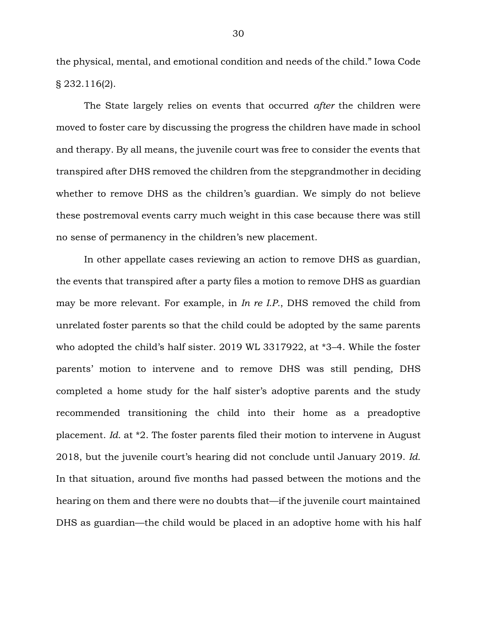the physical, mental, and emotional condition and needs of the child." Iowa Code § 232.116(2).

The State largely relies on events that occurred *after* the children were moved to foster care by discussing the progress the children have made in school and therapy. By all means, the juvenile court was free to consider the events that transpired after DHS removed the children from the stepgrandmother in deciding whether to remove DHS as the children's guardian. We simply do not believe these postremoval events carry much weight in this case because there was still no sense of permanency in the children's new placement.

In other appellate cases reviewing an action to remove DHS as guardian, the events that transpired after a party files a motion to remove DHS as guardian may be more relevant. For example, in *In re I.P.*, DHS removed the child from unrelated foster parents so that the child could be adopted by the same parents who adopted the child's half sister. 2019 WL 3317922, at \*3–4. While the foster parents' motion to intervene and to remove DHS was still pending, DHS completed a home study for the half sister's adoptive parents and the study recommended transitioning the child into their home as a preadoptive placement. *Id.* at \*2. The foster parents filed their motion to intervene in August 2018, but the juvenile court's hearing did not conclude until January 2019. *Id.* In that situation, around five months had passed between the motions and the hearing on them and there were no doubts that—if the juvenile court maintained DHS as guardian—the child would be placed in an adoptive home with his half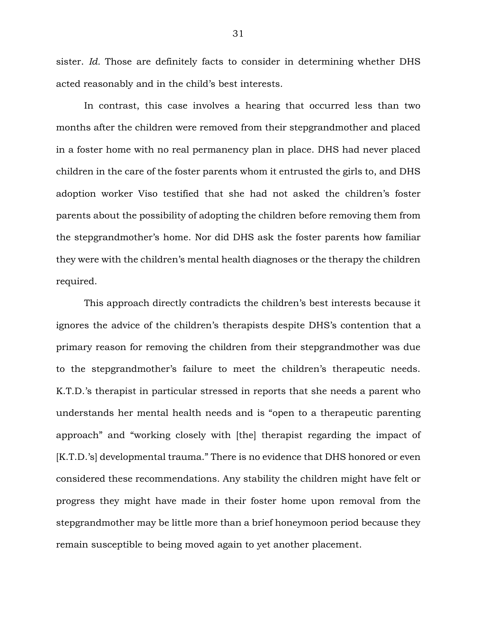sister. *Id.* Those are definitely facts to consider in determining whether DHS acted reasonably and in the child's best interests.

In contrast, this case involves a hearing that occurred less than two months after the children were removed from their stepgrandmother and placed in a foster home with no real permanency plan in place. DHS had never placed children in the care of the foster parents whom it entrusted the girls to, and DHS adoption worker Viso testified that she had not asked the children's foster parents about the possibility of adopting the children before removing them from the stepgrandmother's home. Nor did DHS ask the foster parents how familiar they were with the children's mental health diagnoses or the therapy the children required.

This approach directly contradicts the children's best interests because it ignores the advice of the children's therapists despite DHS's contention that a primary reason for removing the children from their stepgrandmother was due to the stepgrandmother's failure to meet the children's therapeutic needs. K.T.D.'s therapist in particular stressed in reports that she needs a parent who understands her mental health needs and is "open to a therapeutic parenting approach" and "working closely with [the] therapist regarding the impact of [K.T.D.'s] developmental trauma." There is no evidence that DHS honored or even considered these recommendations. Any stability the children might have felt or progress they might have made in their foster home upon removal from the stepgrandmother may be little more than a brief honeymoon period because they remain susceptible to being moved again to yet another placement.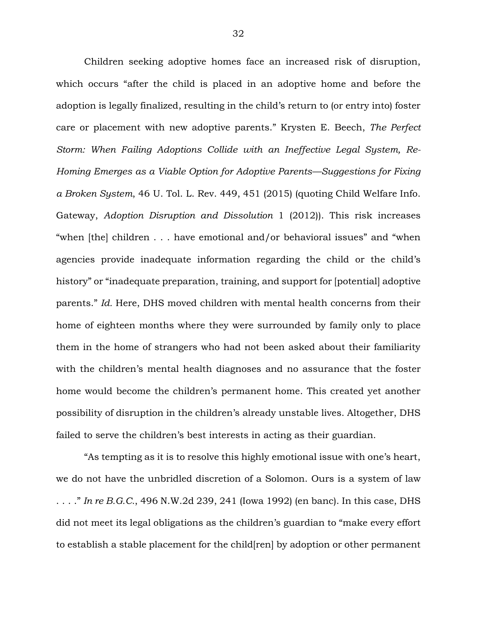Children seeking adoptive homes face an increased risk of disruption, which occurs "after the child is placed in an adoptive home and before the adoption is legally finalized, resulting in the child's return to (or entry into) foster care or placement with new adoptive parents." Krysten E. Beech, *The Perfect Storm: When Failing Adoptions Collide with an Ineffective Legal System, Re-Homing Emerges as a Viable Option for Adoptive Parents—Suggestions for Fixing a Broken System*, 46 U. Tol. L. Rev. 449, 451 (2015) (quoting Child Welfare Info. Gateway, *Adoption Disruption and Dissolution* 1 (2012)). This risk increases "when [the] children . . . have emotional and/or behavioral issues" and "when agencies provide inadequate information regarding the child or the child's history" or "inadequate preparation, training, and support for [potential] adoptive parents." *Id.* Here, DHS moved children with mental health concerns from their home of eighteen months where they were surrounded by family only to place them in the home of strangers who had not been asked about their familiarity with the children's mental health diagnoses and no assurance that the foster home would become the children's permanent home. This created yet another possibility of disruption in the children's already unstable lives. Altogether, DHS failed to serve the children's best interests in acting as their guardian.

"As tempting as it is to resolve this highly emotional issue with one's heart, we do not have the unbridled discretion of a Solomon. Ours is a system of law . . . ." *In re B.G.C.*, 496 N.W.2d 239, 241 (Iowa 1992) (en banc). In this case, DHS did not meet its legal obligations as the children's guardian to "make every effort to establish a stable placement for the child[ren] by adoption or other permanent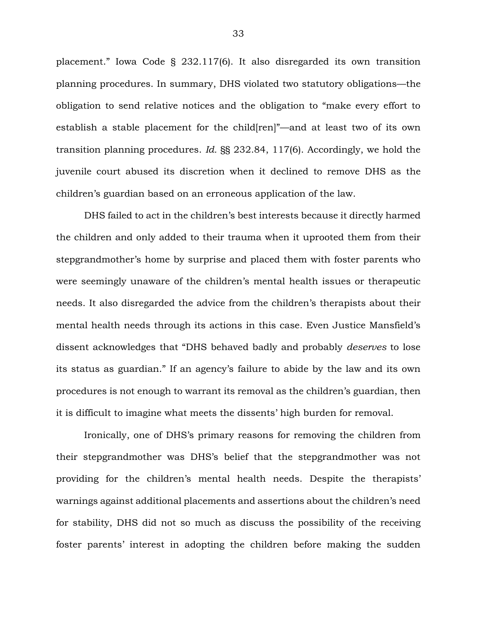placement." Iowa Code § 232.117(6). It also disregarded its own transition planning procedures. In summary, DHS violated two statutory obligations—the obligation to send relative notices and the obligation to "make every effort to establish a stable placement for the child[ren]"—and at least two of its own transition planning procedures. *Id.* §§ 232.84, 117(6). Accordingly, we hold the juvenile court abused its discretion when it declined to remove DHS as the children's guardian based on an erroneous application of the law.

DHS failed to act in the children's best interests because it directly harmed the children and only added to their trauma when it uprooted them from their stepgrandmother's home by surprise and placed them with foster parents who were seemingly unaware of the children's mental health issues or therapeutic needs. It also disregarded the advice from the children's therapists about their mental health needs through its actions in this case. Even Justice Mansfield's dissent acknowledges that "DHS behaved badly and probably *deserves* to lose its status as guardian." If an agency's failure to abide by the law and its own procedures is not enough to warrant its removal as the children's guardian, then it is difficult to imagine what meets the dissents' high burden for removal.

Ironically, one of DHS's primary reasons for removing the children from their stepgrandmother was DHS's belief that the stepgrandmother was not providing for the children's mental health needs. Despite the therapists' warnings against additional placements and assertions about the children's need for stability, DHS did not so much as discuss the possibility of the receiving foster parents' interest in adopting the children before making the sudden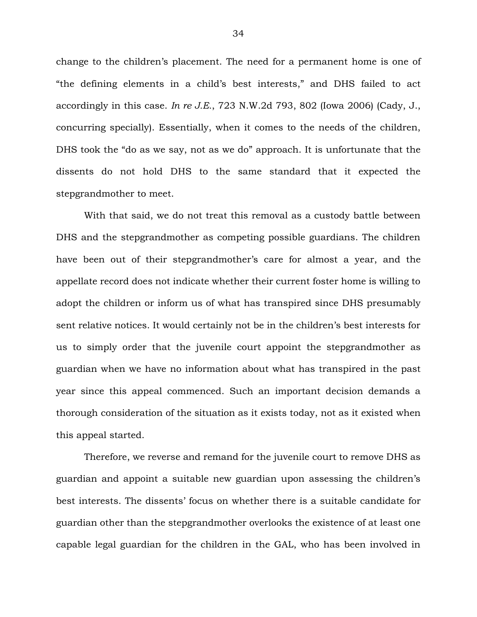change to the children's placement. The need for a permanent home is one of "the defining elements in a child's best interests," and DHS failed to act accordingly in this case. *In re J.E.*, 723 N.W.2d 793, 802 (Iowa 2006) (Cady, J., concurring specially). Essentially, when it comes to the needs of the children, DHS took the "do as we say, not as we do" approach. It is unfortunate that the dissents do not hold DHS to the same standard that it expected the stepgrandmother to meet.

With that said, we do not treat this removal as a custody battle between DHS and the stepgrandmother as competing possible guardians. The children have been out of their stepgrandmother's care for almost a year, and the appellate record does not indicate whether their current foster home is willing to adopt the children or inform us of what has transpired since DHS presumably sent relative notices. It would certainly not be in the children's best interests for us to simply order that the juvenile court appoint the stepgrandmother as guardian when we have no information about what has transpired in the past year since this appeal commenced. Such an important decision demands a thorough consideration of the situation as it exists today, not as it existed when this appeal started.

Therefore, we reverse and remand for the juvenile court to remove DHS as guardian and appoint a suitable new guardian upon assessing the children's best interests. The dissents' focus on whether there is a suitable candidate for guardian other than the stepgrandmother overlooks the existence of at least one capable legal guardian for the children in the GAL, who has been involved in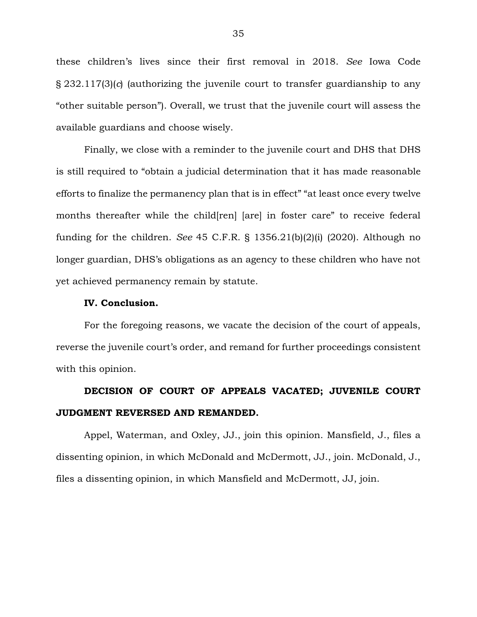these children's lives since their first removal in 2018. *See* Iowa Code § 232.117(3)(*c*) (authorizing the juvenile court to transfer guardianship to any "other suitable person"). Overall, we trust that the juvenile court will assess the available guardians and choose wisely.

Finally, we close with a reminder to the juvenile court and DHS that DHS is still required to "obtain a judicial determination that it has made reasonable efforts to finalize the permanency plan that is in effect" "at least once every twelve months thereafter while the child[ren] [are] in foster care" to receive federal funding for the children. *See* 45 C.F.R. § 1356.21(b)(2)(i) (2020). Although no longer guardian, DHS's obligations as an agency to these children who have not yet achieved permanency remain by statute.

#### **IV. Conclusion.**

For the foregoing reasons, we vacate the decision of the court of appeals, reverse the juvenile court's order, and remand for further proceedings consistent with this opinion.

# **DECISION OF COURT OF APPEALS VACATED; JUVENILE COURT JUDGMENT REVERSED AND REMANDED.**

Appel, Waterman, and Oxley, JJ., join this opinion. Mansfield, J., files a dissenting opinion, in which McDonald and McDermott, JJ., join. McDonald, J., files a dissenting opinion, in which Mansfield and McDermott, JJ, join.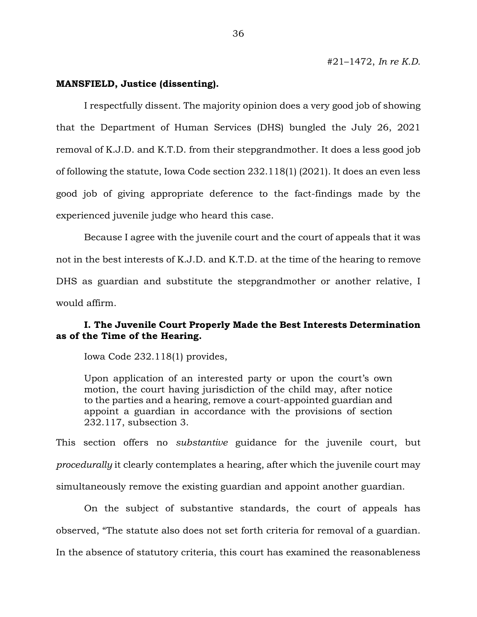### **MANSFIELD, Justice (dissenting).**

I respectfully dissent. The majority opinion does a very good job of showing that the Department of Human Services (DHS) bungled the July 26, 2021 removal of K.J.D. and K.T.D. from their stepgrandmother. It does a less good job of following the statute, Iowa Code section 232.118(1) (2021). It does an even less good job of giving appropriate deference to the fact-findings made by the experienced juvenile judge who heard this case.

Because I agree with the juvenile court and the court of appeals that it was not in the best interests of K.J.D. and K.T.D. at the time of the hearing to remove DHS as guardian and substitute the stepgrandmother or another relative, I would affirm.

## **I. The Juvenile Court Properly Made the Best Interests Determination as of the Time of the Hearing.**

Iowa Code 232.118(1) provides,

Upon application of an interested party or upon the court's own motion, the court having jurisdiction of the child may, after notice to the parties and a hearing, remove a court-appointed guardian and appoint a guardian in accordance with the provisions of section 232.117, subsection 3.

This section offers no *substantive* guidance for the juvenile court, but *procedurally* it clearly contemplates a hearing, after which the juvenile court may simultaneously remove the existing guardian and appoint another guardian.

On the subject of substantive standards, the court of appeals has observed, "The statute also does not set forth criteria for removal of a guardian. In the absence of statutory criteria, this court has examined the reasonableness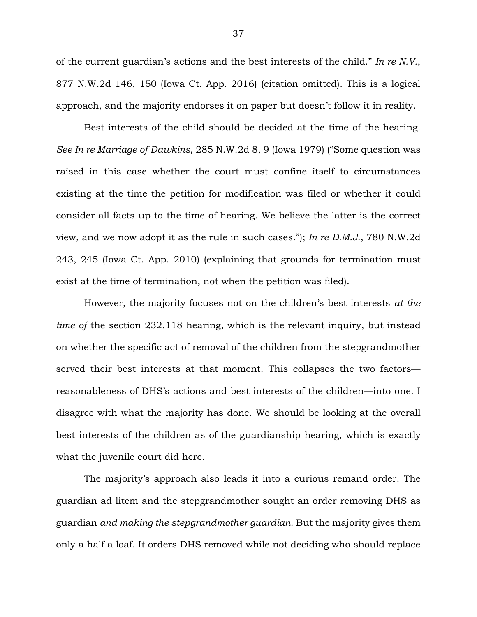of the current guardian's actions and the best interests of the child." *In re N.V.*, 877 N.W.2d 146, 150 (Iowa Ct. App. 2016) (citation omitted). This is a logical approach, and the majority endorses it on paper but doesn't follow it in reality.

Best interests of the child should be decided at the time of the hearing. *See In re Marriage of Dawkins*, 285 N.W.2d 8, 9 (Iowa 1979) ("Some question was raised in this case whether the court must confine itself to circumstances existing at the time the petition for modification was filed or whether it could consider all facts up to the time of hearing. We believe the latter is the correct view, and we now adopt it as the rule in such cases."); *In re D.M.J.*, 780 N.W.2d 243, 245 (Iowa Ct. App. 2010) (explaining that grounds for termination must exist at the time of termination, not when the petition was filed).

However, the majority focuses not on the children's best interests *at the time of* the section 232.118 hearing, which is the relevant inquiry, but instead on whether the specific act of removal of the children from the stepgrandmother served their best interests at that moment. This collapses the two factors reasonableness of DHS's actions and best interests of the children—into one. I disagree with what the majority has done. We should be looking at the overall best interests of the children as of the guardianship hearing, which is exactly what the juvenile court did here.

The majority's approach also leads it into a curious remand order. The guardian ad litem and the stepgrandmother sought an order removing DHS as guardian *and making the stepgrandmother guardian*. But the majority gives them only a half a loaf. It orders DHS removed while not deciding who should replace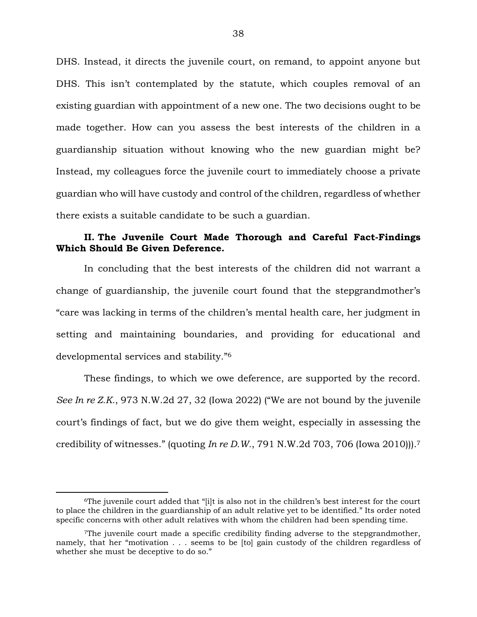DHS. Instead, it directs the juvenile court, on remand, to appoint anyone but DHS. This isn't contemplated by the statute, which couples removal of an existing guardian with appointment of a new one. The two decisions ought to be made together. How can you assess the best interests of the children in a guardianship situation without knowing who the new guardian might be? Instead, my colleagues force the juvenile court to immediately choose a private guardian who will have custody and control of the children, regardless of whether there exists a suitable candidate to be such a guardian.

## **II. The Juvenile Court Made Thorough and Careful Fact-Findings Which Should Be Given Deference.**

In concluding that the best interests of the children did not warrant a change of guardianship, the juvenile court found that the stepgrandmother's "care was lacking in terms of the children's mental health care, her judgment in setting and maintaining boundaries, and providing for educational and developmental services and stability."<sup>6</sup>

These findings, to which we owe deference, are supported by the record. *See In re Z.K.*, 973 N.W.2d 27, 32 (Iowa 2022) ("We are not bound by the juvenile court's findings of fact, but we do give them weight, especially in assessing the credibility of witnesses." (quoting *In re D.W.*, 791 N.W.2d 703, 706 (Iowa 2010))).<sup>7</sup>

 $\overline{a}$ 

<sup>6</sup>The juvenile court added that "[i]t is also not in the children's best interest for the court to place the children in the guardianship of an adult relative yet to be identified." Its order noted specific concerns with other adult relatives with whom the children had been spending time.

<sup>7</sup>The juvenile court made a specific credibility finding adverse to the stepgrandmother, namely, that her "motivation . . . seems to be [to] gain custody of the children regardless of whether she must be deceptive to do so."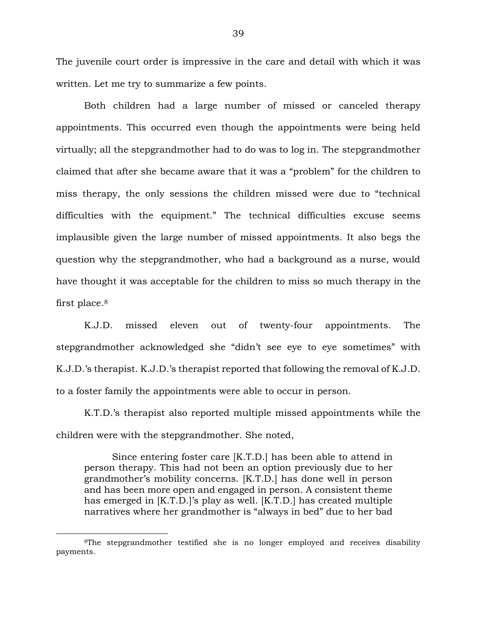The juvenile court order is impressive in the care and detail with which it was written. Let me try to summarize a few points.

Both children had a large number of missed or canceled therapy appointments. This occurred even though the appointments were being held virtually; all the stepgrandmother had to do was to log in. The stepgrandmother claimed that after she became aware that it was a "problem" for the children to miss therapy, the only sessions the children missed were due to "technical difficulties with the equipment." The technical difficulties excuse seems implausible given the large number of missed appointments. It also begs the question why the stepgrandmother, who had a background as a nurse, would have thought it was acceptable for the children to miss so much therapy in the first place.<sup>8</sup>

K.J.D. missed eleven out of twenty-four appointments. The stepgrandmother acknowledged she "didn't see eye to eye sometimes" with K.J.D.'s therapist. K.J.D.'s therapist reported that following the removal of K.J.D. to a foster family the appointments were able to occur in person.

K.T.D.'s therapist also reported multiple missed appointments while the children were with the stepgrandmother. She noted,

Since entering foster care [K.T.D.] has been able to attend in person therapy. This had not been an option previously due to her grandmother's mobility concerns. [K.T.D.] has done well in person and has been more open and engaged in person. A consistent theme has emerged in [K.T.D.]'s play as well. [K.T.D.] has created multiple narratives where her grandmother is "always in bed" due to her bad

 $\overline{a}$ 

<sup>8</sup>The stepgrandmother testified she is no longer employed and receives disability payments.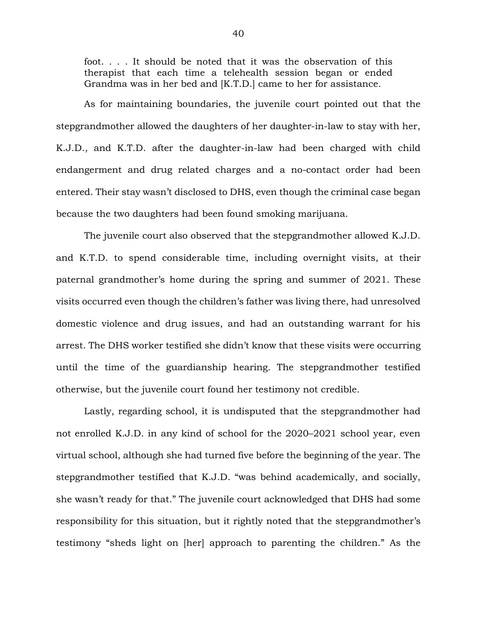foot. . . . It should be noted that it was the observation of this therapist that each time a telehealth session began or ended Grandma was in her bed and [K.T.D.] came to her for assistance.

As for maintaining boundaries, the juvenile court pointed out that the stepgrandmother allowed the daughters of her daughter-in-law to stay with her, K.J.D., and K.T.D. after the daughter-in-law had been charged with child endangerment and drug related charges and a no-contact order had been entered. Their stay wasn't disclosed to DHS, even though the criminal case began because the two daughters had been found smoking marijuana.

The juvenile court also observed that the stepgrandmother allowed K.J.D. and K.T.D. to spend considerable time, including overnight visits, at their paternal grandmother's home during the spring and summer of 2021. These visits occurred even though the children's father was living there, had unresolved domestic violence and drug issues, and had an outstanding warrant for his arrest. The DHS worker testified she didn't know that these visits were occurring until the time of the guardianship hearing. The stepgrandmother testified otherwise, but the juvenile court found her testimony not credible.

Lastly, regarding school, it is undisputed that the stepgrandmother had not enrolled K.J.D. in any kind of school for the 2020–2021 school year, even virtual school, although she had turned five before the beginning of the year. The stepgrandmother testified that K.J.D. "was behind academically, and socially, she wasn't ready for that." The juvenile court acknowledged that DHS had some responsibility for this situation, but it rightly noted that the stepgrandmother's testimony "sheds light on [her] approach to parenting the children." As the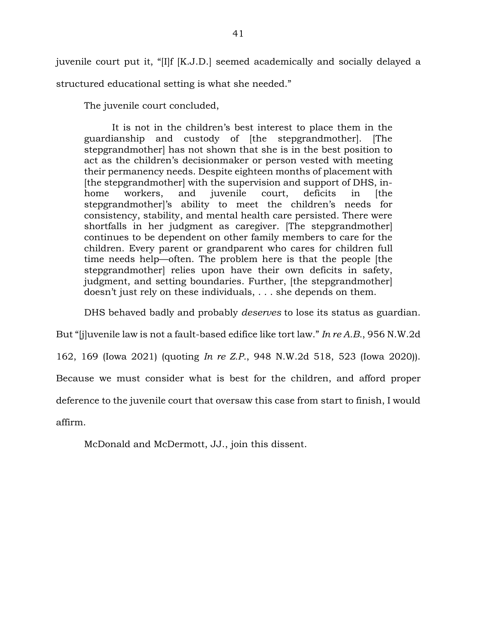juvenile court put it, "[I]f [K.J.D.] seemed academically and socially delayed a structured educational setting is what she needed."

The juvenile court concluded,

It is not in the children's best interest to place them in the guardianship and custody of [the stepgrandmother]. [The stepgrandmother] has not shown that she is in the best position to act as the children's decisionmaker or person vested with meeting their permanency needs. Despite eighteen months of placement with [the stepgrandmother] with the supervision and support of DHS, inhome workers, and juvenile court, deficits in [the stepgrandmother]'s ability to meet the children's needs for consistency, stability, and mental health care persisted. There were shortfalls in her judgment as caregiver. [The stepgrandmother] continues to be dependent on other family members to care for the children. Every parent or grandparent who cares for children full time needs help—often. The problem here is that the people [the stepgrandmother] relies upon have their own deficits in safety, judgment, and setting boundaries. Further, [the stepgrandmother] doesn't just rely on these individuals, . . . she depends on them.

DHS behaved badly and probably *deserves* to lose its status as guardian.

But "[j]uvenile law is not a fault-based edifice like tort law." *In re A.B.*, 956 N.W.2d

162, 169 (Iowa 2021) (quoting *In re Z.P.*, 948 N.W.2d 518, 523 (Iowa 2020)).

Because we must consider what is best for the children, and afford proper

deference to the juvenile court that oversaw this case from start to finish, I would

affirm.

McDonald and McDermott, JJ., join this dissent.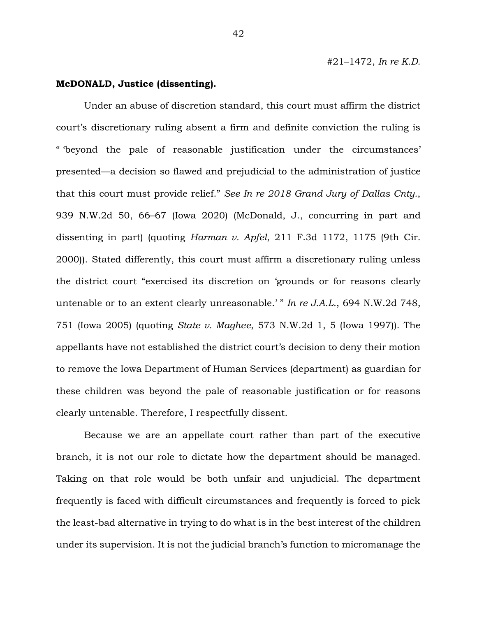### **McDONALD, Justice (dissenting).**

Under an abuse of discretion standard, this court must affirm the district court's discretionary ruling absent a firm and definite conviction the ruling is " 'beyond the pale of reasonable justification under the circumstances' presented—a decision so flawed and prejudicial to the administration of justice that this court must provide relief." *See In re 2018 Grand Jury of Dallas Cnty.*, 939 N.W.2d 50, 66–67 (Iowa 2020) (McDonald, J., concurring in part and dissenting in part) (quoting *Harman v. Apfel*, 211 F.3d 1172, 1175 (9th Cir. 2000)). Stated differently, this court must affirm a discretionary ruling unless the district court "exercised its discretion on 'grounds or for reasons clearly untenable or to an extent clearly unreasonable.' " *In re J.A.L.*, 694 N.W.2d 748, 751 (Iowa 2005) (quoting *State v. Maghee*, 573 N.W.2d 1, 5 (Iowa 1997)). The appellants have not established the district court's decision to deny their motion to remove the Iowa Department of Human Services (department) as guardian for these children was beyond the pale of reasonable justification or for reasons clearly untenable. Therefore, I respectfully dissent.

Because we are an appellate court rather than part of the executive branch, it is not our role to dictate how the department should be managed. Taking on that role would be both unfair and unjudicial. The department frequently is faced with difficult circumstances and frequently is forced to pick the least-bad alternative in trying to do what is in the best interest of the children under its supervision. It is not the judicial branch's function to micromanage the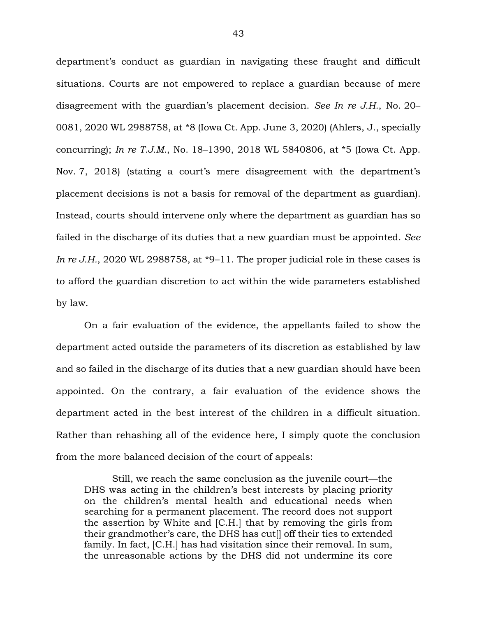department's conduct as guardian in navigating these fraught and difficult situations. Courts are not empowered to replace a guardian because of mere disagreement with the guardian's placement decision. *See In re J.H.*, No. 20– 0081, 2020 WL 2988758, at \*8 (Iowa Ct. App. June 3, 2020) (Ahlers, J., specially concurring); *In re T.J.M.*, No. 18–1390, 2018 WL 5840806, at \*5 (Iowa Ct. App. Nov. 7, 2018) (stating a court's mere disagreement with the department's placement decisions is not a basis for removal of the department as guardian). Instead, courts should intervene only where the department as guardian has so failed in the discharge of its duties that a new guardian must be appointed. *See In re J.H.*, 2020 WL 2988758, at \*9–11. The proper judicial role in these cases is to afford the guardian discretion to act within the wide parameters established by law.

On a fair evaluation of the evidence, the appellants failed to show the department acted outside the parameters of its discretion as established by law and so failed in the discharge of its duties that a new guardian should have been appointed. On the contrary, a fair evaluation of the evidence shows the department acted in the best interest of the children in a difficult situation. Rather than rehashing all of the evidence here, I simply quote the conclusion from the more balanced decision of the court of appeals:

Still, we reach the same conclusion as the juvenile court—the DHS was acting in the children's best interests by placing priority on the children's mental health and educational needs when searching for a permanent placement. The record does not support the assertion by White and [C.H.] that by removing the girls from their grandmother's care, the DHS has cut[] off their ties to extended family. In fact, [C.H.] has had visitation since their removal. In sum, the unreasonable actions by the DHS did not undermine its core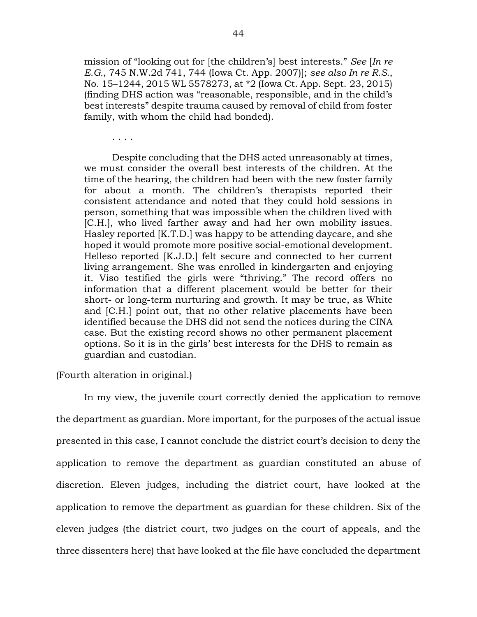mission of "looking out for [the children's] best interests." *See* [*In re E.G.*, 745 N.W.2d 741, 744 (Iowa Ct. App. 2007)]; *see also In re R.S.*, No. 15–1244, 2015 WL 5578273, at \*2 (Iowa Ct. App. Sept. 23, 2015) (finding DHS action was "reasonable, responsible, and in the child's best interests" despite trauma caused by removal of child from foster family, with whom the child had bonded).

. . . .

Despite concluding that the DHS acted unreasonably at times, we must consider the overall best interests of the children. At the time of the hearing, the children had been with the new foster family for about a month. The children's therapists reported their consistent attendance and noted that they could hold sessions in person, something that was impossible when the children lived with [C.H.], who lived farther away and had her own mobility issues. Hasley reported [K.T.D.] was happy to be attending daycare, and she hoped it would promote more positive social-emotional development. Helleso reported [K.J.D.] felt secure and connected to her current living arrangement. She was enrolled in kindergarten and enjoying it. Viso testified the girls were "thriving." The record offers no information that a different placement would be better for their short- or long-term nurturing and growth. It may be true, as White and [C.H.] point out, that no other relative placements have been identified because the DHS did not send the notices during the CINA case. But the existing record shows no other permanent placement options. So it is in the girls' best interests for the DHS to remain as guardian and custodian.

(Fourth alteration in original.)

In my view, the juvenile court correctly denied the application to remove the department as guardian. More important, for the purposes of the actual issue presented in this case, I cannot conclude the district court's decision to deny the application to remove the department as guardian constituted an abuse of discretion. Eleven judges, including the district court, have looked at the application to remove the department as guardian for these children. Six of the eleven judges (the district court, two judges on the court of appeals, and the three dissenters here) that have looked at the file have concluded the department